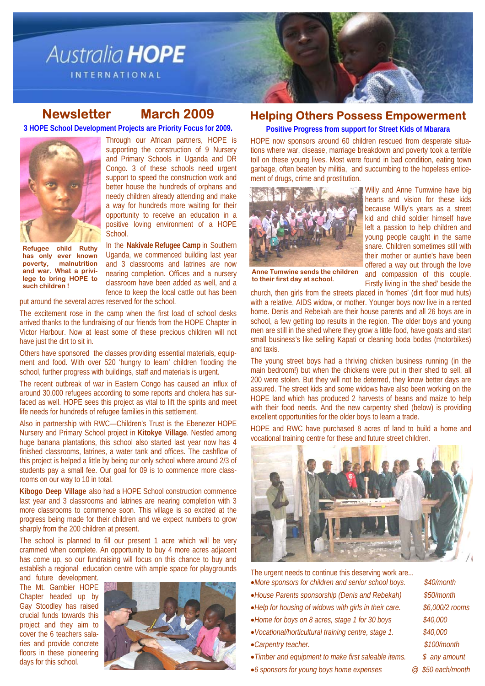

## **Newsletter March 2009**

**3 HOPE School Development Projects are Priority Focus for 2009.** 



Through our African partners, HOPE is supporting the construction of 9 Nursery and Primary Schools in Uganda and DR Congo. 3 of these schools need urgent support to speed the construction work and better house the hundreds of orphans and needy children already attending and make a way for hundreds more waiting for their opportunity to receive an education in a positive loving environment of a HOPE School.

**Refugee child Ruthy has only ever known poverty, malnutrition and war. What a privilege to bring HOPE to such children !** 

In the **Nakivale Refugee Camp** in Southern Uganda, we commenced building last year and 3 classrooms and latrines are now nearing completion. Offices and a nursery classroom have been added as well, and a fence to keep the local cattle out has been

put around the several acres reserved for the school.

The excitement rose in the camp when the first load of school desks arrived thanks to the fundraising of our friends from the HOPE Chapter in Victor Harbour. Now at least some of these precious children will not have just the dirt to sit in.

Others have sponsored the classes providing essential materials, equipment and food. With over 520 'hungry to learn' children flooding the school, further progress with buildings, staff and materials is urgent.

The recent outbreak of war in Eastern Congo has caused an influx of around 30,000 refugees according to some reports and cholera has surfaced as well. HOPE sees this project as vital to lift the spirits and meet life needs for hundreds of refugee families in this settlement.

Also in partnership with RWC—Children's Trust is the Ebenezer HOPE Nursery and Primary School project in **Kitokye Village**. Nestled among huge banana plantations, this school also started last year now has 4 finished classrooms, latrines, a water tank and offices. The cashflow of this project is helped a little by being our only school where around 2/3 of students pay a small fee. Our goal for 09 is to commence more classrooms on our way to 10 in total.

**Kibogo Deep Village** also had a HOPE School construction commence last year and 3 classrooms and latrines are nearing completion with 3 more classrooms to commence soon. This village is so excited at the progress being made for their children and we expect numbers to grow sharply from the 200 children at present.

The school is planned to fill our present 1 acre which will be very crammed when complete. An opportunity to buy 4 more acres adjacent has come up, so our fundraising will focus on this chance to buy and establish a regional education centre with ample space for playgrounds

and future development. The Mt. Gambier HOPE Chapter headed up by Gay Stoodley has raised crucial funds towards this project and they aim to cover the 6 teachers salaries and provide concrete floors in these pioneering days for this school.



## **Helping Others Possess Empowerment**

**Positive Progress from support for Street Kids of Mbarara** 

HOPE now sponsors around 60 children rescued from desperate situations where war, disease, marriage breakdown and poverty took a terrible toll on these young lives. Most were found in bad condition, eating town garbage, often beaten by militia, and succumbing to the hopeless enticement of drugs, crime and prostitution.



Willy and Anne Tumwine have big hearts and vision for these kids because Willy's years as a street kid and child soldier himself have left a passion to help children and young people caught in the same snare. Children sometimes still with their mother or auntie's have been offered a way out through the love and compassion of this couple. Firstly living in 'the shed' beside the

**Anne Tumwine sends the children to their first day at school.** 

church, then girls from the streets placed in 'homes' (dirt floor mud huts) with a relative, AIDS widow, or mother. Younger boys now live in a rented home. Denis and Rebekah are their house parents and all 26 boys are in school, a few getting top results in the region. The older boys and young men are still in the shed where they grow a little food, have goats and start small business's like selling Kapati or cleaning boda bodas (motorbikes) and taxis.

The young street boys had a thriving chicken business running (in the main bedroom!) but when the chickens were put in their shed to sell, all 200 were stolen. But they will not be deterred, they know better days are assured. The street kids and some widows have also been working on the HOPE land which has produced 2 harvests of beans and maize to help with their food needs. And the new carpentry shed (below) is providing excellent opportunities for the older boys to learn a trade.

HOPE and RWC have purchased 8 acres of land to build a home and vocational training centre for these and future street children.



The urgent needs to continue this deserving work are... •*More sponsors for children and senior school boys. \$40/month*  •*House Parents sponsorship (Denis and Rebekah) \$50/month*  •*Help for housing of widows with girls in their care. \$6,000/2 rooms*  •*Home for boys on 8 acres, stage 1 for 30 boys \$40,000*  •*Vocational/horticultural training centre, stage 1. \$40,000*  •*Carpentry teacher. \$100/month*  •*Timber and equipment to make first saleable items. \$ any amount*  •*6 sponsors for young boys home expenses @ \$50 each/month*